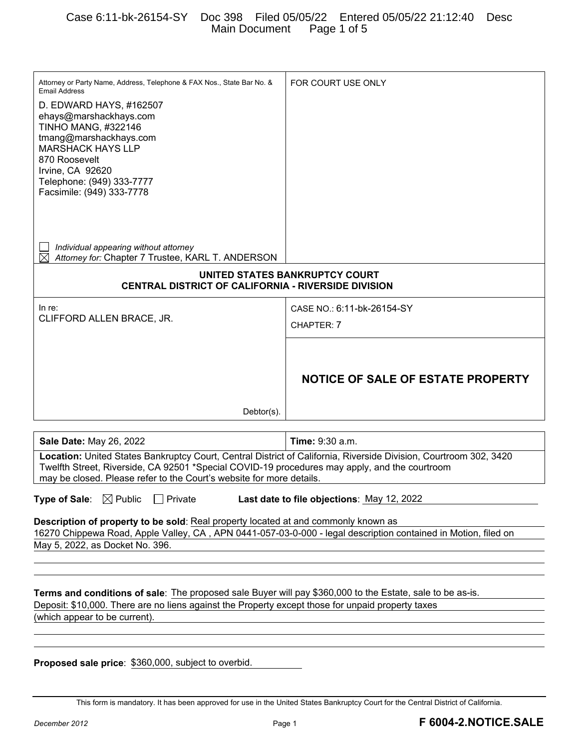| Attorney or Party Name, Address, Telephone & FAX Nos., State Bar No. &<br><b>Email Address</b>                                                                                                       | FOR COURT USE ONLY                         |  |  |
|------------------------------------------------------------------------------------------------------------------------------------------------------------------------------------------------------|--------------------------------------------|--|--|
| D. EDWARD HAYS, #162507                                                                                                                                                                              |                                            |  |  |
| ehays@marshackhays.com<br><b>TINHO MANG, #322146</b>                                                                                                                                                 |                                            |  |  |
| tmang@marshackhays.com                                                                                                                                                                               |                                            |  |  |
| <b>MARSHACK HAYS LLP</b><br>870 Roosevelt                                                                                                                                                            |                                            |  |  |
| Irvine, CA 92620                                                                                                                                                                                     |                                            |  |  |
| Telephone: (949) 333-7777<br>Facsimile: (949) 333-7778                                                                                                                                               |                                            |  |  |
|                                                                                                                                                                                                      |                                            |  |  |
|                                                                                                                                                                                                      |                                            |  |  |
|                                                                                                                                                                                                      |                                            |  |  |
| Individual appearing without attorney<br>Attorney for: Chapter 7 Trustee, KARL T. ANDERSON                                                                                                           |                                            |  |  |
| UNITED STATES BANKRUPTCY COURT<br><b>CENTRAL DISTRICT OF CALIFORNIA - RIVERSIDE DIVISION</b>                                                                                                         |                                            |  |  |
| In re:                                                                                                                                                                                               | CASE NO.: 6:11-bk-26154-SY                 |  |  |
| CLIFFORD ALLEN BRACE, JR.                                                                                                                                                                            | CHAPTER: 7                                 |  |  |
|                                                                                                                                                                                                      |                                            |  |  |
|                                                                                                                                                                                                      |                                            |  |  |
|                                                                                                                                                                                                      | <b>NOTICE OF SALE OF ESTATE PROPERTY</b>   |  |  |
|                                                                                                                                                                                                      |                                            |  |  |
| $Dektor(s)$ .                                                                                                                                                                                        |                                            |  |  |
|                                                                                                                                                                                                      |                                            |  |  |
| Sale Date: May 26, 2022                                                                                                                                                                              | <b>Time: 9:30 a.m.</b>                     |  |  |
| Location: United States Bankruptcy Court, Central District of California, Riverside Division, Courtroom 302, 3420                                                                                    |                                            |  |  |
| Twelfth Street, Riverside, CA 92501 *Special COVID-19 procedures may apply, and the courtroom<br>may be closed. Please refer to the Court's website for more details.                                |                                            |  |  |
| <b>Type of Sale:</b> $\boxtimes$ Public<br>$\Box$ Private                                                                                                                                            | Last date to file objections: May 12, 2022 |  |  |
|                                                                                                                                                                                                      |                                            |  |  |
| Description of property to be sold: Real property located at and commonly known as<br>16270 Chippewa Road, Apple Valley, CA, APN 0441-057-03-0-000 - legal description contained in Motion, filed on |                                            |  |  |
| May 5, 2022, as Docket No. 396.                                                                                                                                                                      |                                            |  |  |
|                                                                                                                                                                                                      |                                            |  |  |
|                                                                                                                                                                                                      |                                            |  |  |
| Terms and conditions of sale: The proposed sale Buyer will pay \$360,000 to the Estate, sale to be as-is.                                                                                            |                                            |  |  |
| Deposit: \$10,000. There are no liens against the Property except those for unpaid property taxes                                                                                                    |                                            |  |  |
| (which appear to be current).                                                                                                                                                                        |                                            |  |  |
|                                                                                                                                                                                                      |                                            |  |  |
| <b>Proposed sale price: \$360,000, subject to overbid.</b>                                                                                                                                           |                                            |  |  |
|                                                                                                                                                                                                      |                                            |  |  |
|                                                                                                                                                                                                      |                                            |  |  |

This form is mandatory. It has been approved for use in the United States Bankruptcy Court for the Central District of California.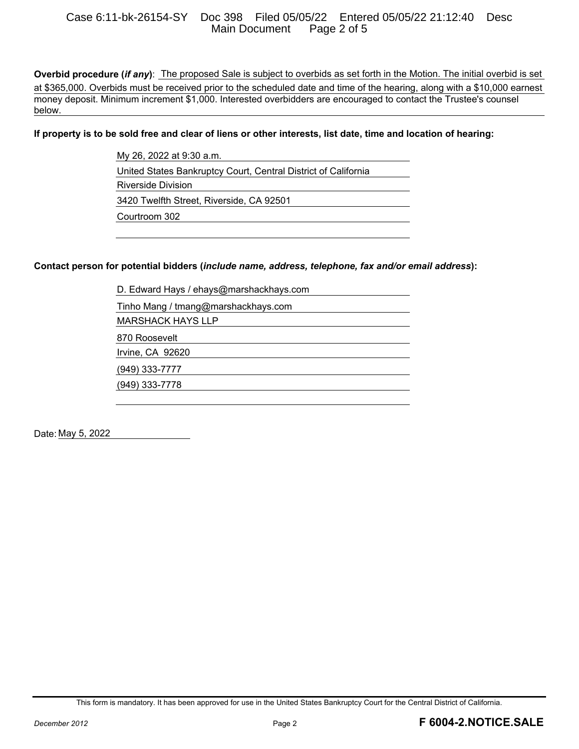#### Case 6:11-bk-26154-SY Doc 398 Filed 05/05/22 Entered 05/05/22 21:12:40 Desc Main Document Page 2 of 5

**Overbid procedure (***if any***)**: The proposed Sale is subject to overbids as set forth in the Motion. The initial overbid is set at \$365,000. Overbids must be received prior to the scheduled date and time of the hearing, along with a \$10,000 earnest money deposit. Minimum increment \$1,000. Interested overbidders are encouraged to contact the Trustee's counsel below.

**If property is to be sold free and clear of liens or other interests, list date, time and location of hearing:** 

My 26, 2022 at 9:30 a.m. United States Bankruptcy Court, Central District of California Riverside Division 3420 Twelfth Street, Riverside, CA 92501 Courtroom 302

#### **Contact person for potential bidders (***include name, address, telephone, fax and/or email address***):**

D. Edward Hays / ehays@marshackhays.com Tinho Mang / tmang@marshackhays.com MARSHACK HAYS LLP 870 Roosevelt Irvine, CA 92620 (949) 333-7777 (949) 333-7778

Date: May 5, 2022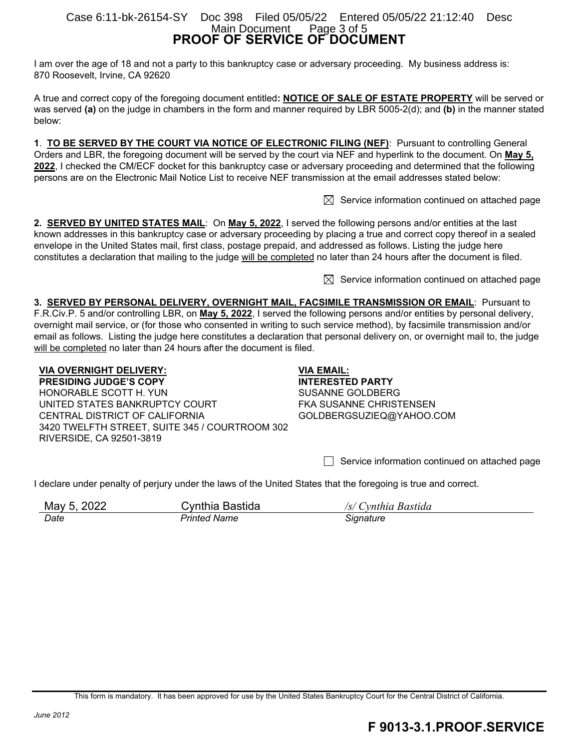#### **PROOF OF SERVICE OF DOCUMENT**  Case 6:11-bk-26154-SY Doc 398 Filed 05/05/22 Entered 05/05/22 21:12:40 Desc Main Document Page 3 of 5

I am over the age of 18 and not a party to this bankruptcy case or adversary proceeding. My business address is: 870 Roosevelt, Irvine, CA 92620

A true and correct copy of the foregoing document entitled**: NOTICE OF SALE OF ESTATE PROPERTY** will be served or was served **(a)** on the judge in chambers in the form and manner required by LBR 5005-2(d); and **(b)** in the manner stated below:

**1**. **TO BE SERVED BY THE COURT VIA NOTICE OF ELECTRONIC FILING (NEF)**: Pursuant to controlling General Orders and LBR, the foregoing document will be served by the court via NEF and hyperlink to the document. On **May 5, 2022**, I checked the CM/ECF docket for this bankruptcy case or adversary proceeding and determined that the following persons are on the Electronic Mail Notice List to receive NEF transmission at the email addresses stated below:

 $\boxtimes$  Service information continued on attached page

**2. SERVED BY UNITED STATES MAIL**: On **May 5, 2022**, I served the following persons and/or entities at the last known addresses in this bankruptcy case or adversary proceeding by placing a true and correct copy thereof in a sealed envelope in the United States mail, first class, postage prepaid, and addressed as follows. Listing the judge here constitutes a declaration that mailing to the judge will be completed no later than 24 hours after the document is filed.

 $\boxtimes$  Service information continued on attached page

**3. SERVED BY PERSONAL DELIVERY, OVERNIGHT MAIL, FACSIMILE TRANSMISSION OR EMAIL**: Pursuant to F.R.Civ.P. 5 and/or controlling LBR, on **May 5, 2022**, I served the following persons and/or entities by personal delivery, overnight mail service, or (for those who consented in writing to such service method), by facsimile transmission and/or email as follows. Listing the judge here constitutes a declaration that personal delivery on, or overnight mail to, the judge will be completed no later than 24 hours after the document is filed.

#### **VIA OVERNIGHT DELIVERY:**

**PRESIDING JUDGE'S COPY**  HONORABLE SCOTT H. YUN UNITED STATES BANKRUPTCY COURT CENTRAL DISTRICT OF CALIFORNIA 3420 TWELFTH STREET, SUITE 345 / COURTROOM 302 RIVERSIDE, CA 92501-3819

**VIA EMAIL: INTERESTED PARTY**  SUSANNE GOLDBERG FKA SUSANNE CHRISTENSEN GOLDBERGSUZIEQ@YAHOO.COM

 $\Box$  Service information continued on attached page

I declare under penalty of perjury under the laws of the United States that the foregoing is true and correct.

| May 5, 2022 | Cynthia Bastida | /s/ Cynthia Bastida |
|-------------|-----------------|---------------------|
| Date        | Printed Name    | Signature           |

## **F 9013-3.1.PROOF.SERVICE**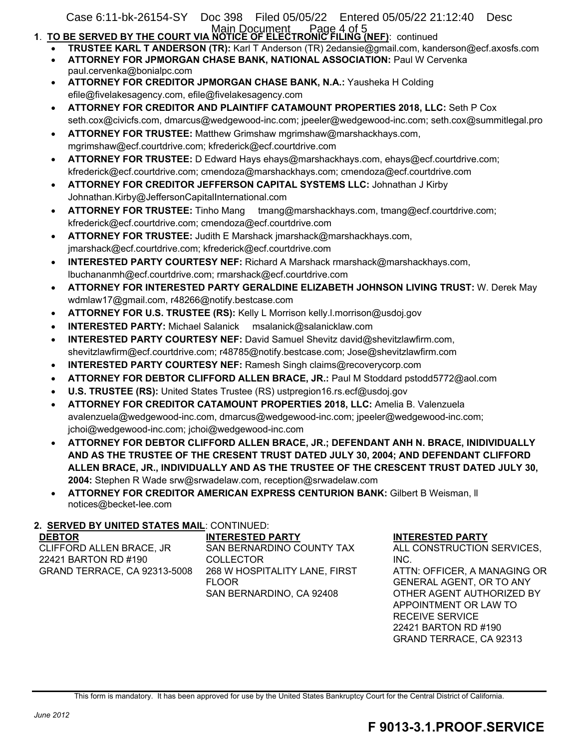Case 6:11-bk-26154-SY Doc 398 Filed 05/05/22 Entered 05/05/22 21:12:40 Desc

- Main Document Page 4 of 5<br>1. TO BE SERVED BY THE COURT VIA NOTICE OF ELECTRONIC FILING (NEF): continued
	- **TRUSTEE KARL T ANDERSON (TR):** Karl T Anderson (TR) 2edansie@gmail.com, kanderson@ecf.axosfs.com **ATTORNEY FOR JPMORGAN CHASE BANK, NATIONAL ASSOCIATION:** Paul W Cervenka
	- paul.cervenka@bonialpc.com
	- **ATTORNEY FOR CREDITOR JPMORGAN CHASE BANK, N.A.:** Yausheka H Colding efile@fivelakesagency.com, efile@fivelakesagency.com
	- **ATTORNEY FOR CREDITOR AND PLAINTIFF CATAMOUNT PROPERTIES 2018, LLC:** Seth P Cox seth.cox@civicfs.com, dmarcus@wedgewood-inc.com; jpeeler@wedgewood-inc.com; seth.cox@summitlegal.pro
	- **ATTORNEY FOR TRUSTEE:** Matthew Grimshaw mgrimshaw@marshackhays.com, mgrimshaw@ecf.courtdrive.com; kfrederick@ecf.courtdrive.com
	- **ATTORNEY FOR TRUSTEE:** D Edward Hays ehays@marshackhays.com, ehays@ecf.courtdrive.com; kfrederick@ecf.courtdrive.com; cmendoza@marshackhays.com; cmendoza@ecf.courtdrive.com
	- **ATTORNEY FOR CREDITOR JEFFERSON CAPITAL SYSTEMS LLC:** Johnathan J Kirby Johnathan.Kirby@JeffersonCapitalInternational.com
	- **ATTORNEY FOR TRUSTEE:** Tinho Mang tmang@marshackhays.com, tmang@ecf.courtdrive.com; kfrederick@ecf.courtdrive.com; cmendoza@ecf.courtdrive.com
	- **ATTORNEY FOR TRUSTEE:** Judith E Marshack jmarshack@marshackhays.com, jmarshack@ecf.courtdrive.com; kfrederick@ecf.courtdrive.com
	- **INTERESTED PARTY COURTESY NEF:** Richard A Marshack rmarshack@marshackhays.com, lbuchananmh@ecf.courtdrive.com; rmarshack@ecf.courtdrive.com
	- **ATTORNEY FOR INTERESTED PARTY GERALDINE ELIZABETH JOHNSON LIVING TRUST:** W. Derek May wdmlaw17@gmail.com, r48266@notify.bestcase.com
	- **ATTORNEY FOR U.S. TRUSTEE (RS):** Kelly L Morrison kelly.l.morrison@usdoj.gov
	- **INTERESTED PARTY:** Michael Salanick msalanick@salanicklaw.com
	- **INTERESTED PARTY COURTESY NEF:** David Samuel Shevitz david@shevitzlawfirm.com, shevitzlawfirm@ecf.courtdrive.com; r48785@notify.bestcase.com; Jose@shevitzlawfirm.com
	- **INTERESTED PARTY COURTESY NEF:** Ramesh Singh claims@recoverycorp.com
	- **ATTORNEY FOR DEBTOR CLIFFORD ALLEN BRACE, JR.:** Paul M Stoddard pstodd5772@aol.com
	- **U.S. TRUSTEE (RS):** United States Trustee (RS) ustpregion16.rs.ecf@usdoj.gov
	- **ATTORNEY FOR CREDITOR CATAMOUNT PROPERTIES 2018, LLC:** Amelia B. Valenzuela avalenzuela@wedgewood-inc.com, dmarcus@wedgewood-inc.com; jpeeler@wedgewood-inc.com; jchoi@wedgewood-inc.com; jchoi@wedgewood-inc.com
	- **ATTORNEY FOR DEBTOR CLIFFORD ALLEN BRACE, JR.; DEFENDANT ANH N. BRACE, INIDIVIDUALLY AND AS THE TRUSTEE OF THE CRESENT TRUST DATED JULY 30, 2004; AND DEFENDANT CLIFFORD ALLEN BRACE, JR., INDIVIDUALLY AND AS THE TRUSTEE OF THE CRESCENT TRUST DATED JULY 30, 2004:** Stephen R Wade srw@srwadelaw.com, reception@srwadelaw.com
	- **ATTORNEY FOR CREDITOR AMERICAN EXPRESS CENTURION BANK:** Gilbert B Weisman, ll notices@becket-lee.com

#### **2. SERVED BY UNITED STATES MAIL**: CONTINUED:

| <b>INTERESTED PARTY</b>       |
|-------------------------------|
| SAN BERNARDINO COUNTY TAX     |
| <b>COLLECTOR</b>              |
| 268 W HOSPITALITY LANE, FIRST |
| <b>FLOOR</b>                  |
| SAN BERNARDINO, CA 92408      |
|                               |

#### **INTERESTED PARTY**

ALL CONSTRUCTION SERVICES, INC. ATTN: OFFICER, A MANAGING OR GENERAL AGENT, OR TO ANY OTHER AGENT AUTHORIZED BY APPOINTMENT OR LAW TO RECEIVE SERVICE 22421 BARTON RD #190 GRAND TERRACE, CA 92313

This form is mandatory. It has been approved for use by the United States Bankruptcy Court for the Central District of California.